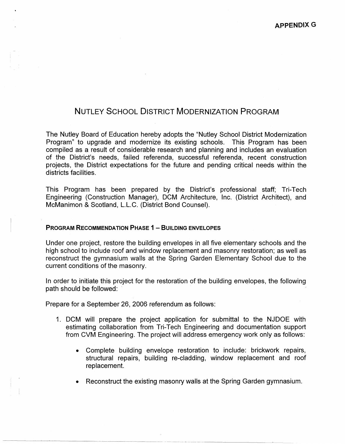# NUTLEY SCHOOL DISTRICT MODERNIZATION PROGRAM

The Nutley Board of Education hereby adopts the "Nutley School District Modernization Program" to upgrade and modernize its existing schools. This Program has been compiled as a result of considerable research and planning and includes an evaluation of the District's needs, failed referenda, successful referenda, recent construction projects, the District expectations for the future and pending critical needs within the districts facilities.

This Program has been prepared by the District's professional staff; Tri-Tech Engineering (Construction Manager), DCM Architecture, Inc. (District Architect), and McManimon & Scotland, L.L.C. (District Bond Counsel).

## **PROGRAM RECOMMENDATION PHASE 1 - BUILDING ENVELOPES**

Under one project, restore the building envelopes in all five elementary schools and the high school to include roof and window replacement and masonry restoration; as well as reconstruct the gymnasium walls at the Spring Garden Elementary School due to the current conditions of the masonry.

In order to initiate this project for the restoration of the building envelopes, the following path should be followed:

Prepare for a September 26, 2006 referendum as follows:

- 1. DCM will prepare the project application for submittal to the NJDOE with estimating collaboration from Tri-Tech Engineering and documentation support from CVM Engineering. The project will address emergency work only as follows:
	- Complete building envelope restoration to include: brickwork repairs, structural repairs, building re-cladding, window replacement and roof replacement.
	- Reconstruct the existing masonry walls at the Spring Garden gymnasium.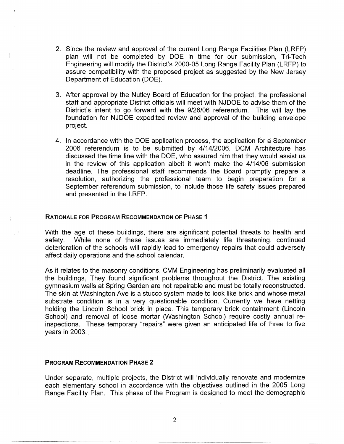- 2. Since the review and approval of the current Long Range Facilities Plan (LRFP) plan will not be completed by DOE in time for our submission, Tri-Tech Engineering will modify the District's 2000-05 Long Range Facility Plan (LRFP) to assure compatibility with the proposed project as suggested by the New Jersey Department of Education (DOE).
- 3. After approval by the Nutley Board of Education for the project, the professional staff and appropriate District officials will meet with NJDOE to advise them of the District's intent to go forward with the 9/26/06 referendum. This will lay the foundation for NJDOE expedited review and approval of the building envelope project.
- 4. In accordance with the DOE application process, the application for a September 2006 referendum is to be submitted by 4/14/2006. DCM Architecture has discussed the time line with the DOE, who assured him that they would assist us in the review of this application albeit it won't make the 4/14/06 submission deadline. The professional staff recommends the Board promptly prepare a resolution, authorizing the professional team to begin preparation for a September referendum submission, to include those life safety issues prepared and presented in the LRFP.

## **RATIONALE FOR PROGRAM RECOMMENDATION OF PHASE 1**

With the age of these buildings, there are significant potential threats to health and safety. While none of these issues are immediately life threatening, continued deterioration of the schools will rapidly lead to emergency repairs that could adversely affect daily operations and the school calendar.

As it relates to the masonry conditions, CVM Engineering has preliminarily evaluated all the bujldings; They found significant problems throughout the District. The existing gymnasium walls at Spring Garden are not repairable and must be totally reconstructed. The skin at Washington Ave is a stucco system made to look like brick and whose metal substrate condition is in a very questionable condition. Currently we have netting holding the Lincoln School brick in place. This temporary brick containment (Lincoln School) and removal of loose mortar (Washington School) require costly annual reinspections. These temporary "repairs" were given an anticipated life of three to five years in  $2003$ .

#### **PROGRAM RECOMMENDATION PHASE 2**

Under separate, multiple projects, the District will individually renovate and modernize each elementary school in accordance with the objectives outlined in the 2005 Long Range Facility Plan. This phase of the Program is designed to meet the demographic